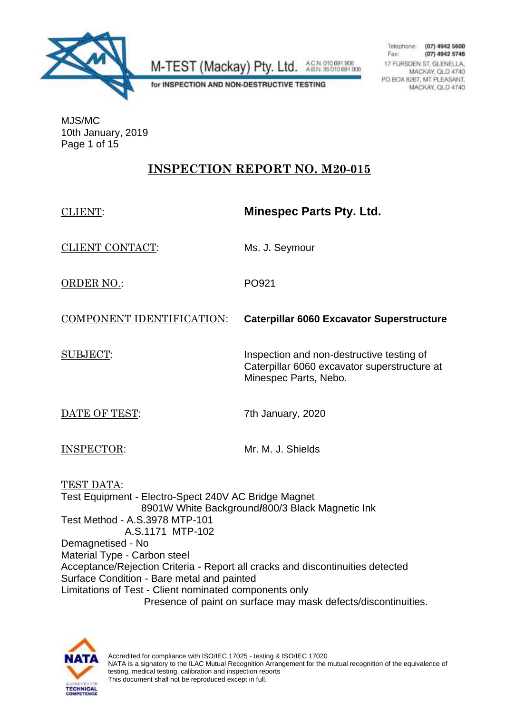

A.C.N. 010 691 906<br>A.B.N. 35 010 691 906 M-TEST (Mackay) Pty. Ltd.

Telephone:  $(07)$  4942 5600 Fax: (07) 4942 5746 17 FURSDEN ST, GLENELLA. MACKAY, QLD 4740 PO BOX 8267, MT PLEASANT, MACKAY, QLD 4740

for INSPECTION AND NON-DESTRUCTIVE TESTING

MJS/MC 10th January, 2019 Page 1 of 15

## **INSPECTION REPORT NO. M20-015**

| <b>CLIENT:</b>                                                                                                                                                                                                                                                                                                                                                                                                                                                                               | <b>Minespec Parts Pty. Ltd.</b>                                                                                    |  |
|----------------------------------------------------------------------------------------------------------------------------------------------------------------------------------------------------------------------------------------------------------------------------------------------------------------------------------------------------------------------------------------------------------------------------------------------------------------------------------------------|--------------------------------------------------------------------------------------------------------------------|--|
| <b>CLIENT CONTACT:</b>                                                                                                                                                                                                                                                                                                                                                                                                                                                                       | Ms. J. Seymour                                                                                                     |  |
| <b>ORDER NO.:</b>                                                                                                                                                                                                                                                                                                                                                                                                                                                                            | PO921                                                                                                              |  |
| COMPONENT IDENTIFICATION:                                                                                                                                                                                                                                                                                                                                                                                                                                                                    | <b>Caterpillar 6060 Excavator Superstructure</b>                                                                   |  |
| <b>SUBJECT:</b>                                                                                                                                                                                                                                                                                                                                                                                                                                                                              | Inspection and non-destructive testing of<br>Caterpillar 6060 excavator superstructure at<br>Minespec Parts, Nebo. |  |
| DATE OF TEST:                                                                                                                                                                                                                                                                                                                                                                                                                                                                                | 7th January, 2020                                                                                                  |  |
| <b>INSPECTOR:</b>                                                                                                                                                                                                                                                                                                                                                                                                                                                                            | Mr. M. J. Shields                                                                                                  |  |
| TEST DATA:<br>Test Equipment - Electro-Spect 240V AC Bridge Magnet<br>8901W White Background/800/3 Black Magnetic Ink<br>Test Method - A.S.3978 MTP-101<br>A.S.1171 MTP-102<br>Demagnetised - No<br>Material Type - Carbon steel<br>Acceptance/Rejection Criteria - Report all cracks and discontinuities detected<br>Surface Condition - Bare metal and painted<br>Limitations of Test - Client nominated components only<br>Presence of paint on surface may mask defects/discontinuities. |                                                                                                                    |  |
| <b>CONTRACTOR</b>                                                                                                                                                                                                                                                                                                                                                                                                                                                                            |                                                                                                                    |  |

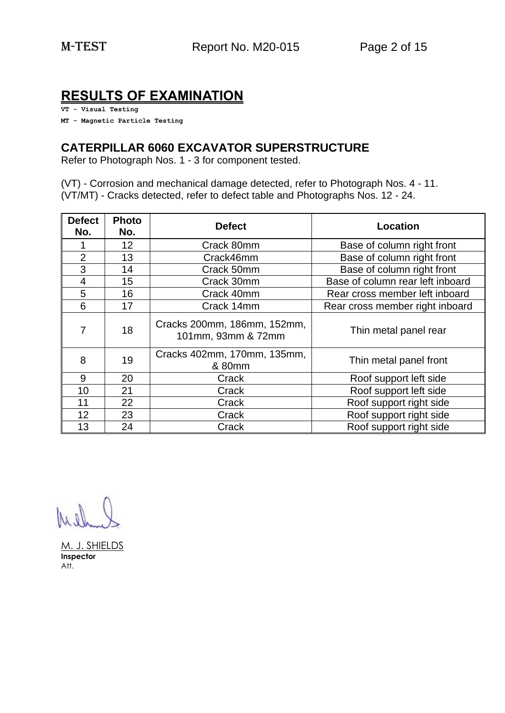## **RESULTS OF EXAMINATION**

**VT - Visual Testing**

**MT - Magnetic Particle Testing**

## **CATERPILLAR 6060 EXCAVATOR SUPERSTRUCTURE**

Refer to Photograph Nos. 1 - 3 for component tested.

(VT) - Corrosion and mechanical damage detected, refer to Photograph Nos. 4 - 11. (VT/MT) - Cracks detected, refer to defect table and Photographs Nos. 12 - 24.

| <b>Defect</b><br>No. | <b>Photo</b><br>No. | <b>Defect</b>                                     | Location                         |
|----------------------|---------------------|---------------------------------------------------|----------------------------------|
|                      | 12                  | Crack 80mm                                        | Base of column right front       |
| $\overline{2}$       | 13                  | Crack46mm                                         | Base of column right front       |
| 3                    | 14                  | Crack 50mm                                        | Base of column right front       |
| 4                    | 15                  | Crack 30mm                                        | Base of column rear left inboard |
| 5                    | 16                  | Crack 40mm                                        | Rear cross member left inboard   |
| 6                    | 17                  | Crack 14mm                                        | Rear cross member right inboard  |
| 7                    | 18                  | Cracks 200mm, 186mm, 152mm,<br>101mm, 93mm & 72mm | Thin metal panel rear            |
| 8                    | 19                  | Cracks 402mm, 170mm, 135mm,<br>& 80mm             | Thin metal panel front           |
| 9                    | 20                  | Crack                                             | Roof support left side           |
| 10                   | 21                  | Crack                                             | Roof support left side           |
| 11                   | 22                  | Crack                                             | Roof support right side          |
| 12                   | 23                  | Crack                                             | Roof support right side          |
| 13                   | 24                  | Crack                                             | Roof support right side          |

M. J. SHIELDS **Inspector** Att.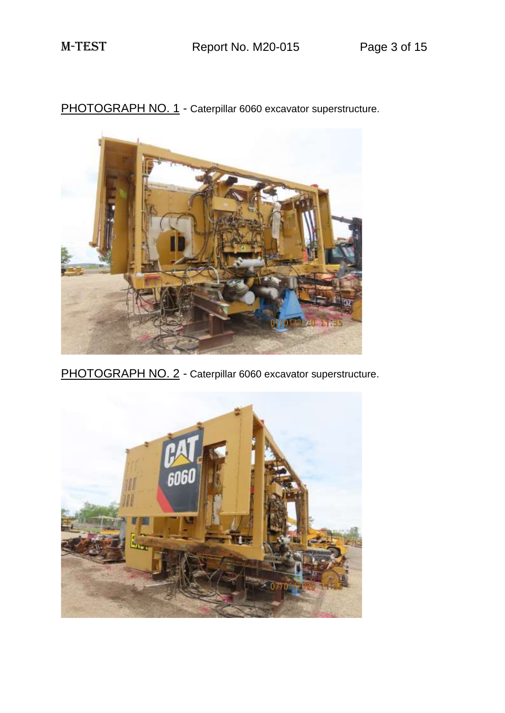PHOTOGRAPH NO. 1 - Caterpillar 6060 excavator superstructure.



PHOTOGRAPH NO. 2 - Caterpillar 6060 excavator superstructure.

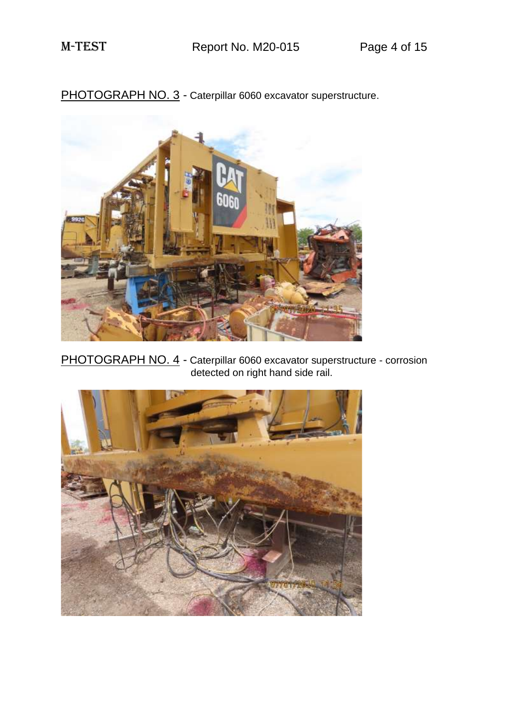PHOTOGRAPH NO. 3 - Caterpillar 6060 excavator superstructure.



PHOTOGRAPH NO. 4 - Caterpillar 6060 excavator superstructure - corrosion detected on right hand side rail.

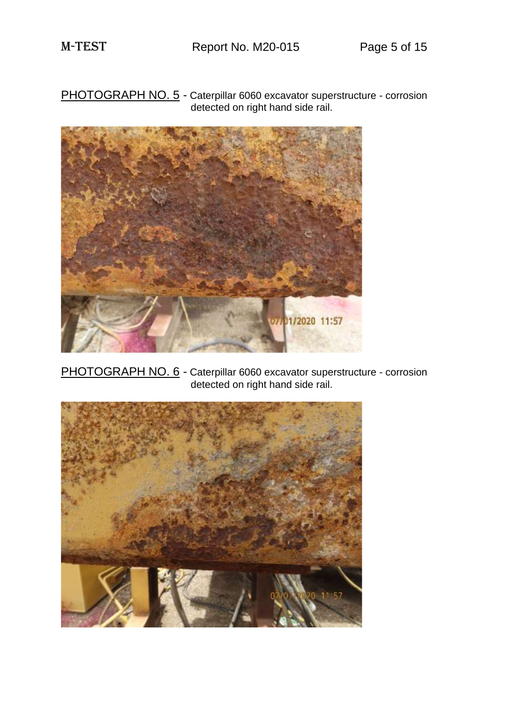PHOTOGRAPH NO. 5 - Caterpillar 6060 excavator superstructure - corrosion detected on right hand side rail.



PHOTOGRAPH NO. 6 - Caterpillar 6060 excavator superstructure - corrosion detected on right hand side rail.

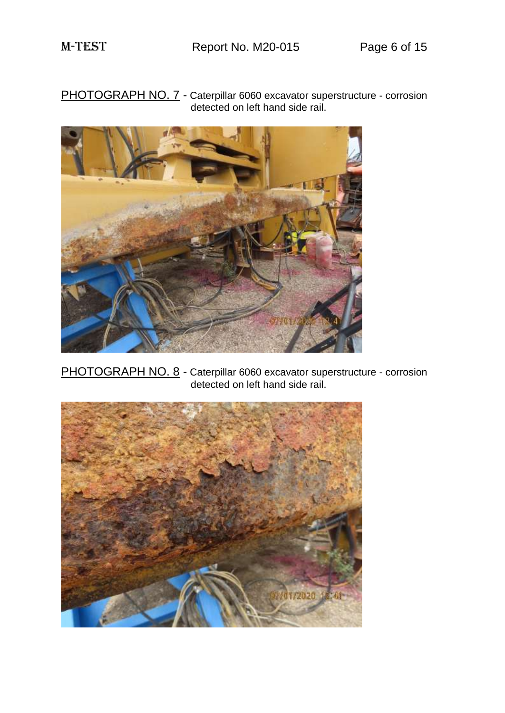PHOTOGRAPH NO. 7 - Caterpillar 6060 excavator superstructure - corrosion detected on left hand side rail.



PHOTOGRAPH NO. 8 - Caterpillar 6060 excavator superstructure - corrosion detected on left hand side rail.

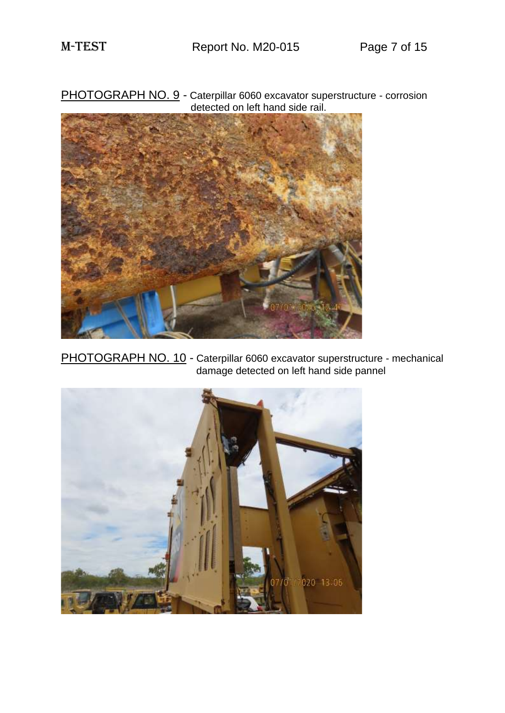PHOTOGRAPH NO. 9 - Caterpillar 6060 excavator superstructure - corrosion detected on left hand side rail.



PHOTOGRAPH NO. 10 - Caterpillar 6060 excavator superstructure - mechanical damage detected on left hand side pannel

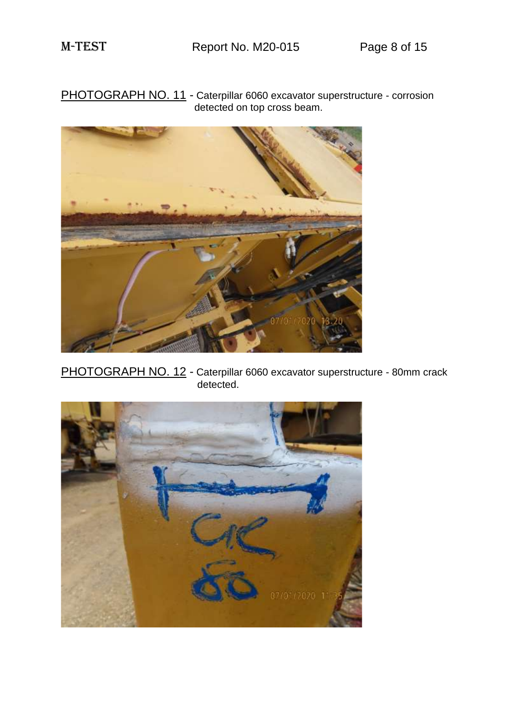PHOTOGRAPH NO. 11 - Caterpillar 6060 excavator superstructure - corrosion detected on top cross beam.



PHOTOGRAPH NO. 12 - Caterpillar 6060 excavator superstructure - 80mm crack detected.

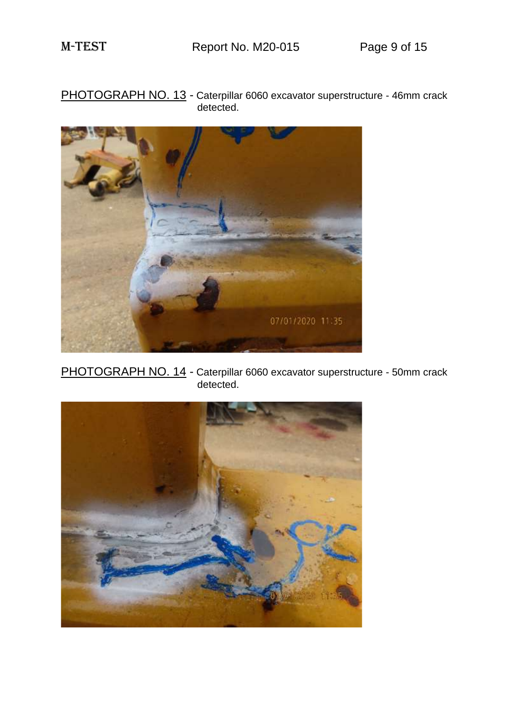PHOTOGRAPH NO. 13 - Caterpillar 6060 excavator superstructure - 46mm crack detected.



PHOTOGRAPH NO. 14 - Caterpillar 6060 excavator superstructure - 50mm crack detected.

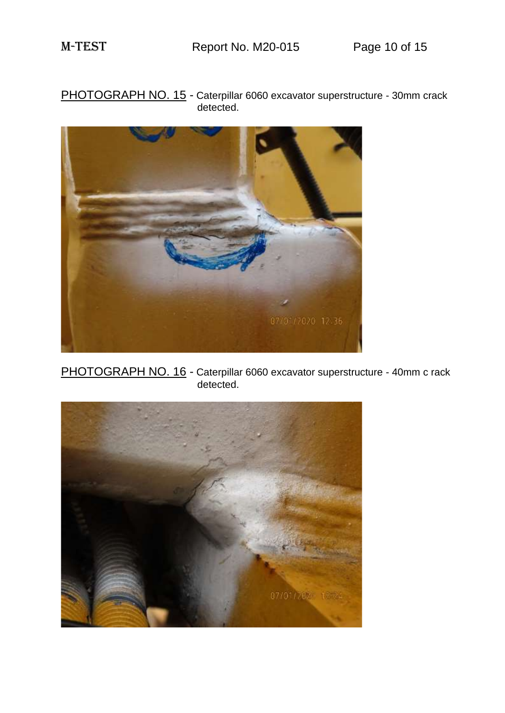PHOTOGRAPH NO. 15 - Caterpillar 6060 excavator superstructure - 30mm crack detected.



PHOTOGRAPH NO. 16 - Caterpillar 6060 excavator superstructure - 40mm c rack detected.

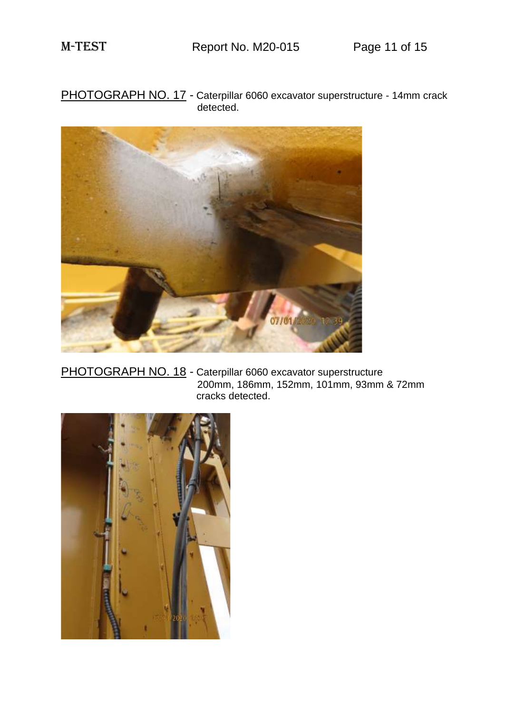PHOTOGRAPH NO. 17 - Caterpillar 6060 excavator superstructure - 14mm crack detected.



PHOTOGRAPH NO. 18 - Caterpillar 6060 excavator superstructure 200mm, 186mm, 152mm, 101mm, 93mm & 72mm cracks detected.

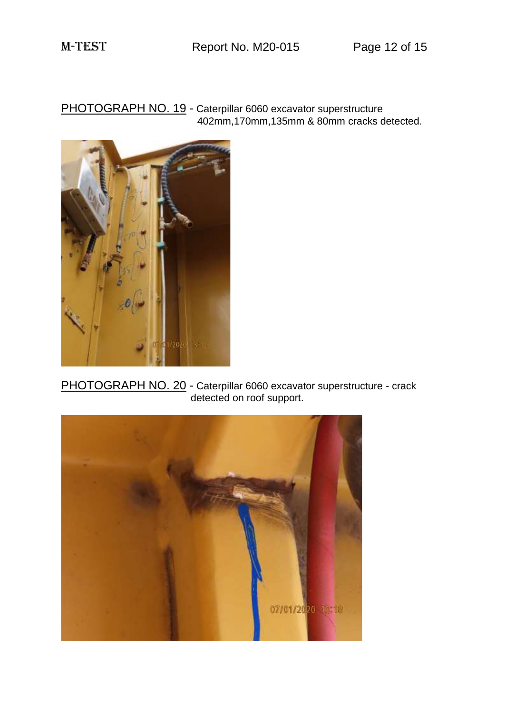PHOTOGRAPH NO. 19 - Caterpillar 6060 excavator superstructure 402mm,170mm,135mm & 80mm cracks detected.



PHOTOGRAPH NO. 20 - Caterpillar 6060 excavator superstructure - crack detected on roof support.

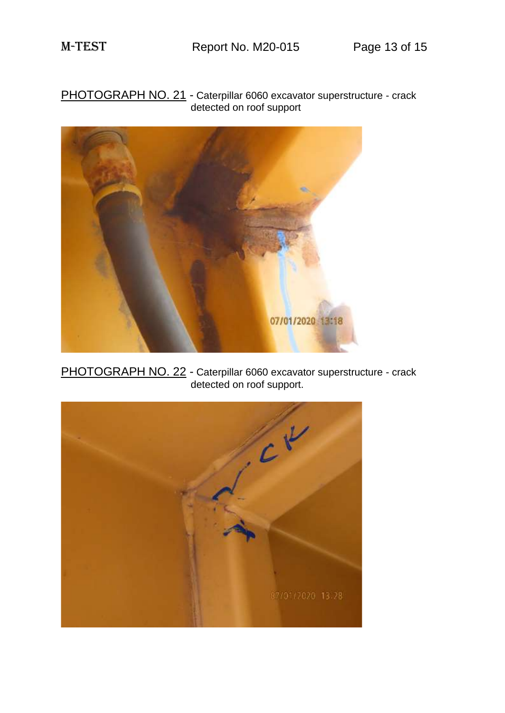PHOTOGRAPH NO. 21 - Caterpillar 6060 excavator superstructure - crack detected on roof support



PHOTOGRAPH NO. 22 - Caterpillar 6060 excavator superstructure - crack detected on roof support.

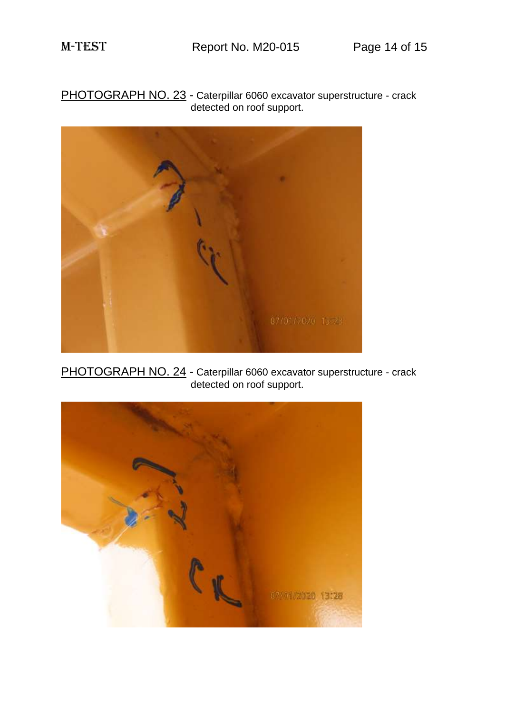PHOTOGRAPH NO. 23 - Caterpillar 6060 excavator superstructure - crack detected on roof support.



PHOTOGRAPH NO. 24 - Caterpillar 6060 excavator superstructure - crack detected on roof support.